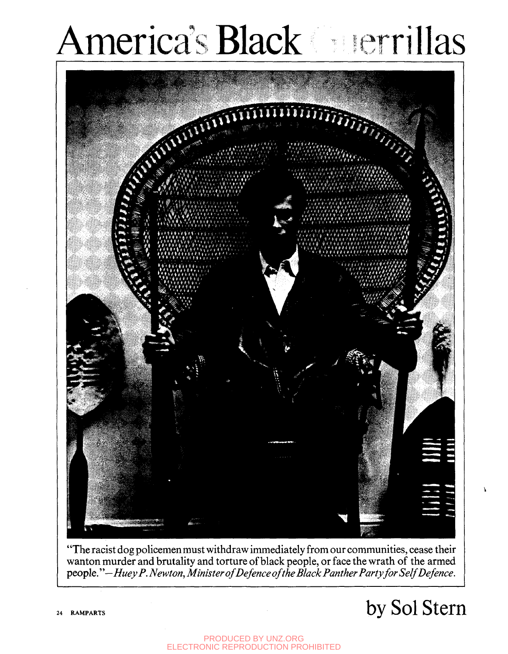# America's Black nerrillas



"The racist dog policemen must withdraw immediately from our communities, cease their wanton murder and brutality and torture of black people, or face the wrath of the armed *people.''—Huey P. Newton, Minister of Defence of the Black Panther Party for Self Defence.* 

# **24 RAMPARTS** by Sol Stem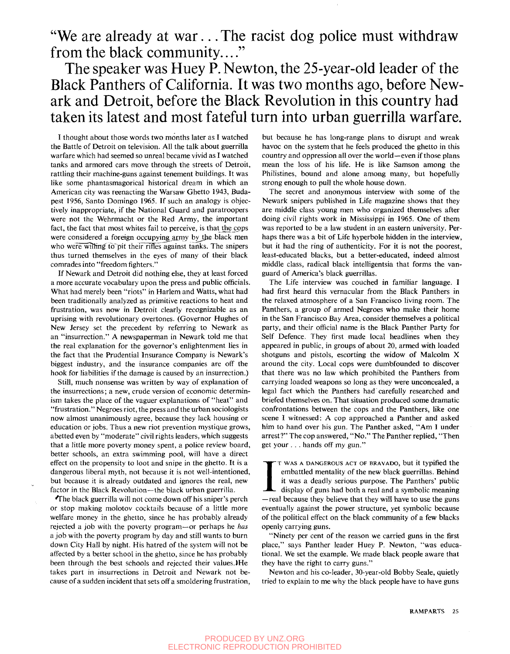"We are already at war... The racist dog police must withdraw from the black community...."

### The speaker was Huey P. Newton, the 25-year-old leader of the Black Panthers of California. It was two months ago, before Newark and Detroit, before the Black Revolution in this country had taken its latest and most fateful turn into urban guerrilla warfare.

I thought about those words two months later as I watched the Battle of Detroit on television. All the talk about guerrilla warfare which had seemed so unreal became vivid as I watched tanks and armored cars move through the streets of Detroit, rattling their machine-guns against tenement buildings. It was like some phantasmagorical historical dream in which an American city was reenacting the Warsaw Ghetto 1943, Budapest 1956, Santo Domingo 1965. If such an analogy is objectively inappropriate, if the National Guard and paratroopers were not the Wehrmacht or the Red Army, the important fact, the fact that most whites fail to perceive, is that the cops were considered a foreign occupying army by the black men who were willing to pit their rifles against tanks. The snipers thus turned themselves in the eyes of many of their black comrades into "freedom fighters."

If Newark and Detroit did nothing else, they at least forced a more accurate vocabulary upon the press and public officials. What had merely been "riots" in Harlem and Watts, what had been traditionally analyzed as primitive reactions to heat and frustration, was now in Detroit clearly recognizable as an uprising with revolutionary overtones. (Governor Hughes of New Jersey set the precedent by referring to Newark as an "insurrection." A newspaperman in Newark told me that the real explanation for the governor's enlightenment lies in the fact that the Prudential Insurance Company is Newark's biggest industry, and the insurance companies are off the hook for liabilities if the damage is caused by an insurrection.)

Still, much nonsense was written by way of explanation of the insurrections; a new, crude version of economic determinism takes the place of the vaguer explanations of "heat" and "frustration." Negroes riot, the press and the urban sociologists now almost unanimously agree, because they lack housing or education or jobs. Thus a new riot prevention mystique grows, abetted even by "moderate" civil rights leaders, which suggests that a little more poverty money spent, a police review board, better schools, an extra swimming pool, will have a direct effect on the propensity to loot and snipe in the ghetto. It is a dangerous liberal myth, not because it is not well-intentioned, but because it is already outdated and ignores the real, new factor in the Black Revolution—the black urban guerrilla.

'The black guerrilla will not come down off his sniper's perch or stop making molotov cocktails because of a little more welfare money in the ghetto, since he has probably already rejected a job with the poverty program—or perhaps he *has*  a job with the poverty program by day and still wants to burn down City Hall by night. His hatred of the system will not be affected by a better school in the ghetto, since he has probably been through the best schools and rejected their values.)He takes part in insurrections in Detroit and Newark not because of a sudden incident that sets off a smoldering frustration. but because he has long-range plans to disrupt and wreak havoc on the system that he feels produced the ghetto in this country and oppression all over the world—even if those plans mean the loss of his life. He is like Samson among the Philistines, bound and alone among many, but hopefully strong enough to pull the whole house down.

The secret and anonymous interview with some of the Newark snipers published in Life magazine shows that they are middle class young men who organized themselves after doing civil rights work in Mississippi in 1965. One of them was reported to be a law student in an eastern university. Perhaps there was a bit of Life hyperbole hidden in the interview, but it had the ring of authenticity. For it is not the poorest, least-educated blacks, but a better-educated, indeed almost middle class, radical black intelligentsia that forms the vanguard of America's black guerrillas.

The Life interview was couched in familiar language. I had first heard this vernacular from the Black Panthers in the relaxed atmosphere of a San Francisco living room. The Panthers, a group of armed Negroes who make their home in the San Francisco Bay Area, consider themselves a political party, and their official name is the Black Panther Party for Self Defence. They first made local headlines when they appeared in public, in groups of about 20, armed with loaded shotguns and pistols, escorting the widow of Malcolm X around the city. Local cops were dumbfounded to discover that there was no law which prohibited the Panthers from carrying loaded weapons so long as they were unconcealed, a legal fact which the Panthers had carefully researched and briefed themselves on. That situation produced some dramatic confrontations between the cops and the Panthers, like one scene I witnessed: A cop approached a Panther and asked him to hand over his gun. The Panther asked, "Am I under arrest?" The cop answered, "No." The Panther replied, "Then get your . . . hands off my gun."

T WAS A DANGEROUS ACT OF BRAVADO, but it typified the embattled mentality of the new black guerrillas. Behind it was a deadly serious purpose. The Panthers' public display of guns had both a real and a symbolic meaning —re T WAS A DANGEROUS ACT OF BRAVADO, but it typified the embattled mentality of the new black guerrillas. Behind it was a deadly serious purpose. The Panthers' public display of guns had both a real and a symbolic meaning eventually against the power structure, yet symbolic because of the political effect on the black community of a few blacks openly carrying guns.

"Ninety per cent of the reason we carried guns in the first place," says Panther leader Huey P. Newton, "was educational. We set the example. We made black people aware that they have the right to carry guns."

Newton and his co-leader, 30-year-old Bobby Seale, quietly tried to explain to me why the black people have to have guns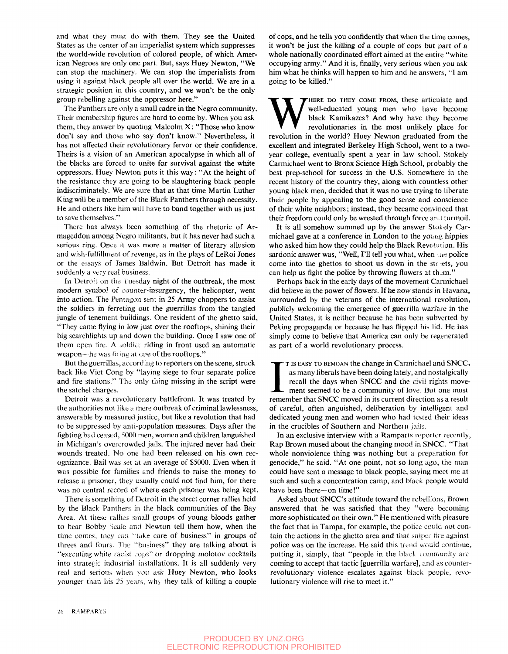and what they must do with them. They see the United States as the center of an imperialist system which suppresses the world-wide revolution of colored people, of which American Negroes are only one part. But, says Huey Newton, "We can stop the machinery. We can stop the imperialists from using it against black people all over the world. We are in a strategic position in this country, and we won't be the only group rebelling against the oppressor here."

The Panthers are only a small cadre in the Negro community. Their membership figures are hard to come by. When you ask them, they answer by quoting Malcolm  $X:$  "Those who know don't say and those who say don't know." Nevertheless, it has not affected their revolutionary fervor or their confidence. Theirs is a vision of an American apocalypse in which all of the blacks are forced to unite for survival against the white oppressors. Huey Newton puts it this way: "At the height of the resistance they are going to be slaughtering black people indiscriminately. We are sure that at that time Martin Luther King will be a member of the Black Panthers through necessity. He and others like him will have to band together with us just to save themselves."

There has always been something of the rhetoric of Armageddon among Negro militants, but it has never had such a serious ring. Once it was more a matter of literary allusion and wish-fulfillment of revenge, as in the plays of LeRoi Jones or the essays of James Baldwin. But Detroit has made it suddenly a very real business.

In Detroit on the Tuesday night of the outbreak, the most modern symbol of counter-insurgency, the helicopter, went into action. The Pentagon sent in 25 Army choppers to assist the soldiers in ferreting out the guerrillas from the tangled jungle of tenement buildings. One resident of the ghetto said, "They came flying in low just over the rooftops, shining their big searchlights up and down the building. Once I saw one of them open fire. A soldier riding in front used an automatic weapon—he was firing at one of the rooftops."

But the guerrillas, according to reporters on the scene, struck back like Viet Cong by "laying siege to four separate police and fire stations." The only thing missing in the script were the satchel charges.

Detroit was a revolutionary battlefront. It was treated by the authorities not like a mere outbreak of criminal lawlessness, answerable by measured justice, but like a revolution that had to be suppressed by anti-population measures. Days after the fighting had ceased, 5000 men, women and children languished in Michigan's overcrowded jails. The injured never had their wounds treated. No one had been released on his own recognizance. Bail was set at an average of \$5000. Even when it was possible for families and friends to raise the money to release a prisoner, they usually could not find him, for there was no central record of where each prisoner was being kept.

There is something of Detroit in the street corner rallies held by the Black Panthers in the black communities of the Bay Area. At these rallies small groups of young bloods gather to hear Bobby Seale and Newton tell them how, when the time comes, they can 'take care of business" in groups of threes and fours. The "business" they are talking about is "executing white racisi cops'or dropping molotov cocktails into strategic industrial installations. It is all suddenly very real and serious when you ask Huey Newton, who looks younger than his 25 years, why they talk of killing a couple of cops, and he tells you confidently that when the time comes, it won't be just the killing of a couple of cops but part of a whole nationally coordinated effort aimed at the entire "white occupying army." And it is, finally, very serious when you ask him what he thinks will happen to him and he answers, "I am going to be killed."

WHERE DO THEY COME FROM, these articulate and well-educated young men who have become black Kamikazes? And why have they become revolutionaries in the most unlikely place for revolution in the world? Huey Newton graduated HERE DO THEY COME FROM, these articulate and well-educated young men who have become black Kamikazes? And why have they become revolutionaries in the most unlikely place for excellent and integrated Berkeley High School, went to a twoyear college, eventually spent a year in law school. Stokely Carmichael went to Bronx Science High School, probably the best prep-school for success in the U.S. Somewhere in the recent history of the country they, along with countless other young black men, decided that it was no use trying to liberate their people by appealing to the good sense and conscience of their white neighbors; instead, they became convinced that their freedom could only be wrested through force and turmoil.

It is all somehow summed up by the answer Stokely Carmichael gave at a conference in London to the young hippies who asked him how they could help the Black Revolution. His sardonic answer was, "Well, I'll tell you what, when the police come into the ghettos to shoot us down in the streets, you can help us fight the police by throwing flowers at them."

Perhaps back in the early days of the movement Carmichael did believe in the power of flowers. If he now stands in Havana, surrounded by the veterans of the international revolution, publicly welcoming the emergence of guerrilla warfare in the United States, it is neither because he has been subverted by Peking propaganda or because he has flipped his lid. He has simply come to believe that America can only be regenerated as part of a world revolutionary process.

T IS EASY TO BEMOAN the change in Carmichael and SNCC, as many liberals have been doing lately, and nostalgically recall the days when SNCC and the civil rights movement seemed to be a community of love. But one must remem T IS EASY TO BEMOAN the change in Carmichael and SNCC, as many liberals have been doing lately, and nostalgically recall the days when SNCC and the civil rights movement seemed to be a community of love. But one must of careful, often anguished, deliberation by intelligent and dedicated young men and women who had tested their ideas in the crucibles of Southern and Northern jails.

In an exclusive interview with a Ramparts reporter recently. Rap Brown mused about the changing mood in SNCC. "That whole nonviolence thing was nothing but a preparation for genocide," he said. "At one point, not so long ago, the man could have sent a message to black people, saying meet me at such and such a concentration camp, and black people would have been there—on time!"

Asked about SNCC's attitude toward the rebellions, Brown answered that he was satisfied that they "were becoming more sophisticated on their own." He mentioned with pleasure the fact that in Tampa, for example, the police could not contain the actions in the ghetto area and that sniper fire against police was on the increase. He said this trend would continue, putting it, simply, that "people in the black community are coming to accept that tactic [guerrilla warfare], and as counterrevolutionary violence escalates against black people, revolutionary violence will rise to meet it."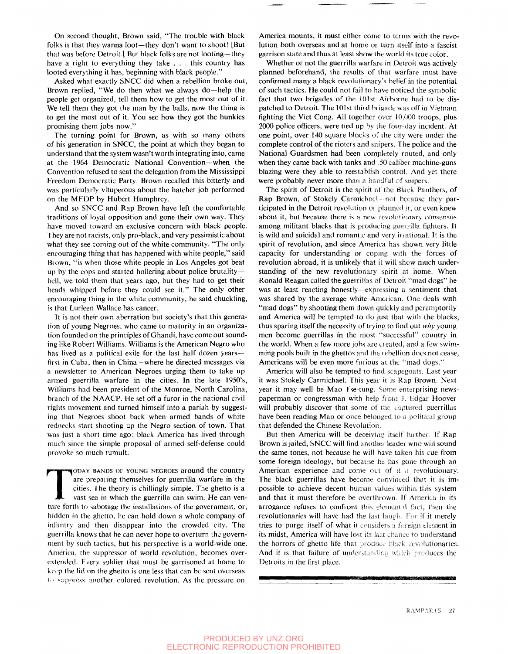On second thought. Brown said, "The trouble with black folks is that they wanna loot—they don't want to shoot! [But that was before Detroit.] But black folks are not looting—they have a right to everything they take . . . this country has looted everything it has, beginning with black people."

Asked what exactly SNCC did when a rebellion broke out. Brown replied, "We do then what we always do—help the people get organized, tell them how to get the most out of it. We tell them they got the man by the balls, now the thing is to get the most out of it. You see how they got the hunkies promising them jobs now."

The turning point for Brown, as with so many others of his generation in SNCC, the point at which they began to understand that the system wasn't worth integrating into, came at the 1964 Democratic National Convention—when the Convention refused to seat the delegation from the Mississippi Freedom Democratic Party. Brown recalled this bitterly and was particularly vituperous about the hatchet job performed on the MFDP by Hubert Humphrey.

And so SNCC and Rap Brown have left the comfortable traditions of loyal opposition and gone their own way. They have moved toward an exclusive concern with black people. Ihey are not racists, only pro-black, and very pessimistic about what they see coming out of the white community. "The only encouraging thing that has happened with white people," said Brown, "is when those white people in Los Angeles got beat up by the cops and started hollering about police brutality hell, we told them that years ago, but they had to get their heads whipped before they could see it." The only other encouraging thing in the white community, he said chuckling, is that Lurleen Wallace has cancer.

It is not their own aberration but society's that this generation of young Negroes, who came to maturity in an organization founded on the principles of Ghandi, have come out sounding like Robert Williams. Williams is the American Negro who has lived as a political exile for the last half dozen yearsfirst in Cuba, then in China—where he directed messages via a newsletter to American Negroes urging them to take up armed guerrilla warfare in the cities. In the late 1950's, Williams had been president of the Monroe, North Carolina, branch of the NA ACP. He set off a furor in the national civil rights movement and turned himself into a pariah by suggesting that Negroes shoot back when armed bands of white rednecks start shooting up the Negro section of town. That was just a short time ago; black America has lived through much since the simple proposal of armed self-defense could provoke so much tumult.

TODAY BANDS OF YOUNG NEGROES around the country<br>are preparing themselves for guerrilla warfare in the<br>cities. The theory is chillingly simple. The ghetto is a<br>vast sea in which the guerrilla can swim. He can ven-<br>ture fort ODAY BANDS OF YOUNG NEGROES around the country are preparing themselves for guerrilla warfare in the cities. The theory is chillingly simple. The ghetto is a vast sea in which the guerrilla can swim. He can venhidden in the ghetto, he can hold down a whole company of infantry and then disappear into the crowded city. The guerrilla knows that he can never hope to overturn the government by such tactics, but his perspective is a world-wide one. America, the suppressor of world revolution, becomes overextended. Every soldier that must be garrisoned at home to keep the lid on the ghetto is one less that can be sent overseas  $t_{\theta}$  suppress another colored revolution. As the pressure on

America mounts, it must either come to terms with the revolution both overseas and at home or turn itself into a fascist garrison state and thus at least show the world its true color.

Whether or not the guerrilla warfare in Detroit was actively planned beforehand, the results of that warfare must have confirmed many a black revolutionary's belief in the potential of such tactics. He could not fail to have noticed the symbolic fact that two brigades of the 101st Airborne had to be dispatched to Detroit. The 101st third brigade was off in Vietnam fighting the Viet Cong. All together over 10,000 troops, plus 2000 police officers, were tied up by the four-day incident. At one point, over 140 square blocks of die city were under the complete control of the rioters and snipers. The police and the National Guardsmen had been completely routed, and only when they came back with tanks and .50 caliber machine-guns blazing were they able to reestablish control. And yet there were probably never more than a handful *of* snipers,

The spirit of Detroit is the spirit of the Black Panthers, of Rap Brown, of Stokely Carmichae! - not because they participated in the Detroit revolution or planned it, or even knew about it, but because there is a new revolutionary consensus among militant blacks that is producing guerrilla fighters. It is wild and suicidal and romantic and very irrational. It is the spirit of revolution, and since America has shown very little capacity for understanding or coping with the forces of revolution abroad, it is unlikely that it will show much understanding of the new revolutionary spirit at home. When Ronald Reagan called the guerrillas of Detroit "rnad dogs" he was at least reacting honestly--expressing a sentiment that was shared by the average white American. One deals with "mad dogs" by shooting them down quickly and peremptorily and America will be tempted to do just that with the blacks, thus sparing itself the necessity of trying to find out *why* young men become guerrillas in the most "successful" country in the world. When a few more jobs are created, and a few swimming pools built in the ghettos and the rebellion does not cease, Americans will be even more furious at the "mad dogs."

America will also be tempted to find scapegoats. Last year it was Stokely Carmichael. This year it is Rap Brown. Next year it may well be Mao Tse-tung. Some enterprising newspaperman or congressman with lielp *from* J. Edgar Hoover will probably discover that some of the captured guerrillas have been reading Mao or once belonged to a political group that defended the Chinese Revolution.

But then America will be deceiving itself further. If Rap Brown is jailed, SNCC will find another leader who will sound the same tones, not because he will have taken his cue from some foreign ideology, but because he has gone through an American experience and come out of it a revolutionary. The black guerrillas have become convinced that it is impossible to achieve decent human values within this system and that it must therefore be overthrown. If America in its arrogance refuses to confront this elemental fact, then the revolutionaries will have had the last laugh. For if it merely tries to purge itself of what it considers a foreign element in its midst, America will have lost its last chance to understand the horrors of ghetto life that produce black revolutionaries. And it is that failure of understanding which produces the Detroits in the first place.